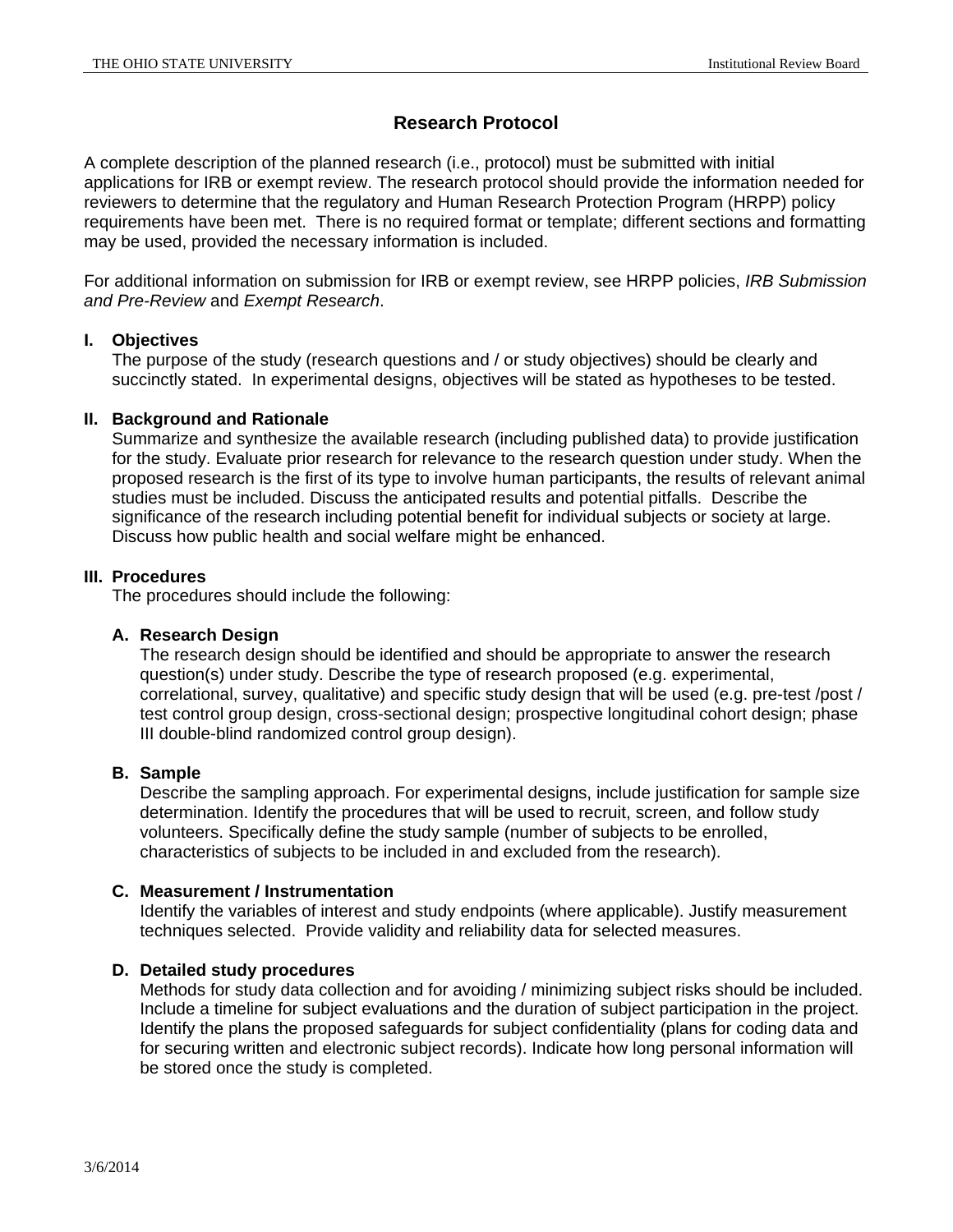# **Research Protocol**

A complete description of the planned research (i.e., protocol) must be submitted with initial applications for IRB or exempt review. The research protocol should provide the information needed for reviewers to determine that the regulatory and Human Research Protection Program (HRPP) policy requirements have been met. There is no required format or template; different sections and formatting may be used, provided the necessary information is included.

For additional information on submission for IRB or exempt review, see HRPP policies, *IRB Submission and Pre-Review* and *Exempt Research*.

## **I. Objectives**

The purpose of the study (research questions and / or study objectives) should be clearly and succinctly stated. In experimental designs, objectives will be stated as hypotheses to be tested.

# **II. Background and Rationale**

Summarize and synthesize the available research (including published data) to provide justification for the study. Evaluate prior research for relevance to the research question under study. When the proposed research is the first of its type to involve human participants, the results of relevant animal studies must be included. Discuss the anticipated results and potential pitfalls. Describe the significance of the research including potential benefit for individual subjects or society at large. Discuss how public health and social welfare might be enhanced.

# **III. Procedures**

The procedures should include the following:

## **A. Research Design**

The research design should be identified and should be appropriate to answer the research question(s) under study. Describe the type of research proposed (e.g. experimental, correlational, survey, qualitative) and specific study design that will be used (e.g. pre-test /post / test control group design, cross-sectional design; prospective longitudinal cohort design; phase III double-blind randomized control group design).

## **B. Sample**

Describe the sampling approach. For experimental designs, include justification for sample size determination. Identify the procedures that will be used to recruit, screen, and follow study volunteers. Specifically define the study sample (number of subjects to be enrolled, characteristics of subjects to be included in and excluded from the research).

## **C. Measurement / Instrumentation**

Identify the variables of interest and study endpoints (where applicable). Justify measurement techniques selected. Provide validity and reliability data for selected measures.

## **D. Detailed study procedures**

Methods for study data collection and for avoiding / minimizing subject risks should be included. Include a timeline for subject evaluations and the duration of subject participation in the project. Identify the plans the proposed safeguards for subject confidentiality (plans for coding data and for securing written and electronic subject records). Indicate how long personal information will be stored once the study is completed.